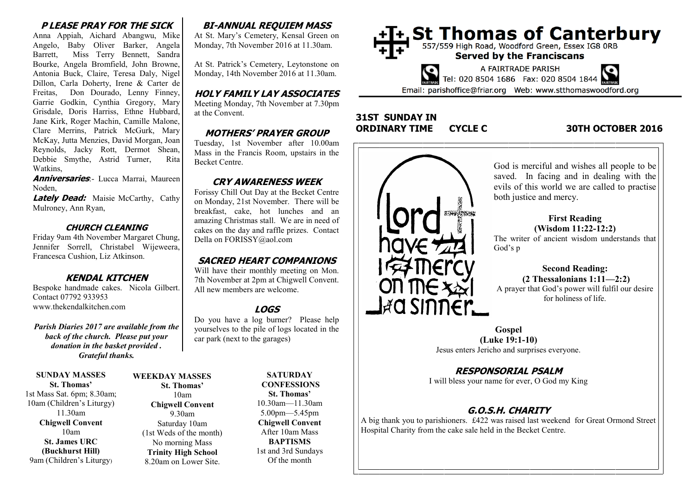### **P LEASE PRAY FOR THE SICK**

Anna Appiah, Aichard Abangwu, Mike Angelo, Baby Oliver Barker, Angela Barrett, Miss Terry Bennett, Sandra Bourke, Angela Bromfield, John Browne, Antonia Buck, Claire, Teresa Daly, Nigel Dillon, Carla Doherty, Irene & Carter de Freitas, Don Dourado, Lenny Finney, Garrie Godkin, Cynthia Gregory, Mary Grisdale, Doris Harriss, Ethne Hubbard, Jane Kirk, Roger Machin, Camille Malone, Clare Merrins, Patrick McGurk, Mary McKay, Jutta Menzies, David Morgan, Joan Reynolds, Jacky Rott, Dermot Shean, Debbie Smythe, Astrid Turner, Rita Watkins,

**Anniversaries**:- Lucca Marrai, Maureen Noden,

**Lately Dead:** Maisie McCarthy, Cathy Mulroney, Ann Ryan,

#### **CHURCH CLEANING**

Friday 9am 4th November Margaret Chung, Jennifer Sorrell, Christabel Wijeweera, Francesca Cushion, Liz Atkinson.

### **KENDAL KITCHEN**

Bespoke handmade cakes. Nicola Gilbert. Contact 07792 933953 www.thekendalkitchen.com

*Parish Diaries 2017 are available from the back of the church. Please put your donation in the basket provided . Grateful thanks.* 

**SUNDAY MASSES St. Thomas'** 1st Mass Sat. 6pm; 8.30am; 10am (Children's Liturgy) 11.30am **Chigwell Convent** 10am **St. James URC (Buckhurst Hill)**

9am (Children's Liturgy)

#### **WEEKDAY MASSES St. Thomas'** 10am **Chigwell Convent** 9.30am Saturday 10am (1st Weds of the month) No morning Mass **Trinity High School** 8.20am on Lower Site.

## **BI-ANNUAL REQUIEM MASS**

At St. Mary's Cemetery, Kensal Green on Monday, 7th November 2016 at 11.30am.

At St. Patrick's Cemetery, Leytonstone on Monday, 14th November 2016 at 11.30am.

#### **HOLY FAMILY LAY ASSOCIATES**

Meeting Monday, 7th November at 7.30pm at the Convent.

### **MOTHERS' PRAYER GROUP**

Tuesday, 1st November after 10.00am Mass in the Francis Room, upstairs in the Becket Centre.

## **CRY AWARENESS WEEK**

Forissy Chill Out Day at the Becket Centre on Monday, 21st November. There will be breakfast, cake, hot lunches and an amazing Christmas stall. We are in need of cakes on the day and raffle prizes. Contact Della on FORISSY@aol.com

### **SACRED HEART COMPANIONS**

Will have their monthly meeting on Mon. 7th November at 2pm at Chigwell Convent. All new members are welcome.

# **LOGS**

Do you have a log burner? Please help yourselves to the pile of logs located in the car park (next to the garages)

> **SATURDAY CONFESSIONS St. Thomas'** 10.30am—11.30am 5.00pm—5.45pm **Chigwell Convent** After 10am Mass **BAPTISMS** 1st and 3rd Sundays Of the month





### **31ST SUNDAY IN ORDINARY TIME CYCLE C 30TH OCTOBER 2016**



God is merciful and wishes all people to be saved. In facing and in dealing with the evils of this world we are called to practise both justice and mercy.

#### **First Reading (Wisdom 11:22-12:2)**

The writer of ancient wisdom understands that God's p

#### **Second Reading: (2 Thessalonians 1:11—2:2)**

A prayer that God's power will fulfil our desire for holiness of life.

**Gospel (Luke 19:1-10)** Jesus enters Jericho and surprises everyone.

## **RESPONSORIAL PSALM**

I will bless your name for ever, O God my King

## **G.O.S.H. CHARITY**

A big thank you to parishioners. £422 was raised last weekend for Great Ormond Street Hospital Charity from the cake sale held in the Becket Centre.